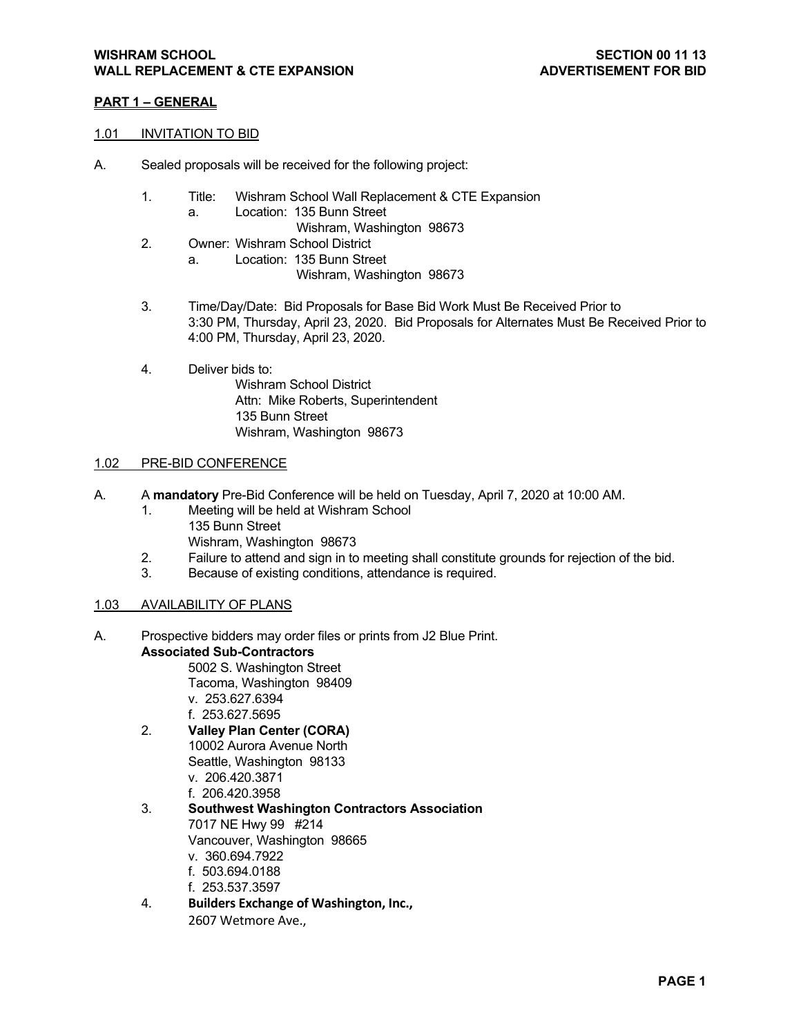### **PART 1 – GENERAL**

#### 1.01 INVITATION TO BID

- A. Sealed proposals will be received for the following project:
	- 1. Title: Wishram School Wall Replacement & CTE Expansion a. Location: 135 Bunn Street
		- Wishram, Washington 98673
	- 2. Owner: Wishram School District
		- a. Location: 135 Bunn Street

Wishram, Washington 98673

- 3. Time/Day/Date: Bid Proposals for Base Bid Work Must Be Received Prior to 3:30 PM, Thursday, April 23, 2020. Bid Proposals for Alternates Must Be Received Prior to 4:00 PM, Thursday, April 23, 2020.
- 4. Deliver bids to: Wishram School District Attn: Mike Roberts, Superintendent 135 Bunn Street Wishram, Washington 98673

#### 1.02 PRE-BID CONFERENCE

- A. A **mandatory** Pre-Bid Conference will be held on Tuesday, April 7, 2020 at 10:00 AM.
	- 1. Meeting will be held at Wishram School 135 Bunn Street Wishram, Washington 98673
	- 2. Failure to attend and sign in to meeting shall constitute grounds for rejection of the bid.
	- 3. Because of existing conditions, attendance is required.

#### 1.03 AVAILABILITY OF PLANS

- A. Prospective bidders may order files or prints from J2 Blue Print. **Associated Sub-Contractors** 
	- 5002 S. Washington Street Tacoma, Washington 98409
	-
	- v. 253.627.6394
	- f. 253.627.5695
	- 2. **Valley Plan Center (CORA)**  10002 Aurora Avenue North Seattle, Washington 98133 v. 206.420.3871
		- f. 206.420.3958
	- 3. **Southwest Washington Contractors Association** 7017 NE Hwy 99 #214 Vancouver, Washington 98665 v. 360.694.7922
		- f. 503.694.0188
		- f. 253.537.3597
	- 4. **Builders Exchange of Washington, Inc.,** 
		- 2607 Wetmore Ave.,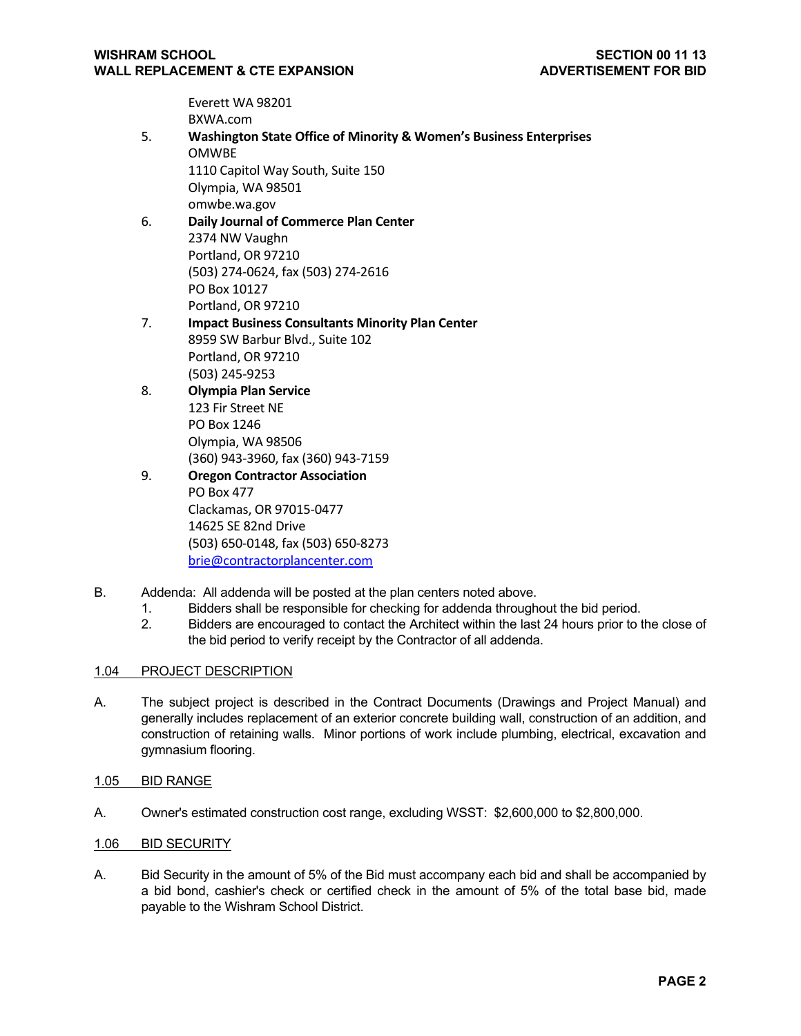Everett WA 98201 BXWA.com

- 5. **Washington State Office of Minority & Women's Business Enterprises**  OMWBE 1110 Capitol Way South, Suite 150 Olympia, WA 98501 omwbe.wa.gov 6. **Daily Journal of Commerce Plan Center**
	- 2374 NW Vaughn Portland, OR 97210 (503) 274‐0624, fax (503) 274‐2616 PO Box 10127 Portland, OR 97210
- 7. **Impact Business Consultants Minority Plan Center** 8959 SW Barbur Blvd., Suite 102 Portland, OR 97210 (503) 245‐9253
- 8. **Olympia Plan Service** 123 Fir Street NE PO Box 1246 Olympia, WA 98506 (360) 943‐3960, fax (360) 943‐7159
- 9. **Oregon Contractor Association**  PO Box 477 Clackamas, OR 97015‐0477 14625 SE 82nd Drive (503) 650‐0148, fax (503) 650‐8273 brie@contractorplancenter.com
- B. Addenda: All addenda will be posted at the plan centers noted above.
	- 1. Bidders shall be responsible for checking for addenda throughout the bid period.
	- 2. Bidders are encouraged to contact the Architect within the last 24 hours prior to the close of the bid period to verify receipt by the Contractor of all addenda.

## 1.04 PROJECT DESCRIPTION

- A. The subject project is described in the Contract Documents (Drawings and Project Manual) and generally includes replacement of an exterior concrete building wall, construction of an addition, and construction of retaining walls. Minor portions of work include plumbing, electrical, excavation and gymnasium flooring.
- 1.05 BID RANGE
- A. Owner's estimated construction cost range, excluding WSST: \$2,600,000 to \$2,800,000.
- 1.06 BID SECURITY
- A. Bid Security in the amount of 5% of the Bid must accompany each bid and shall be accompanied by a bid bond, cashier's check or certified check in the amount of 5% of the total base bid, made payable to the Wishram School District.